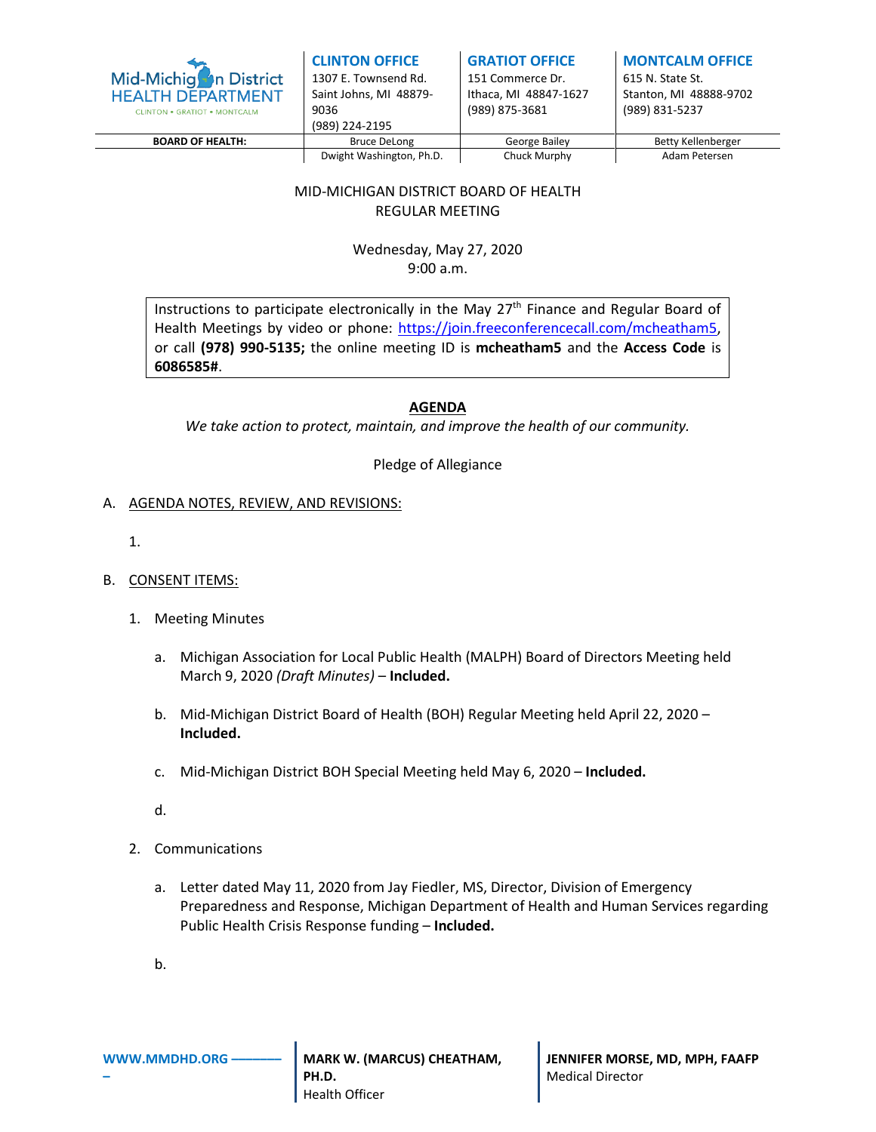

| <b>CLINTON OFFICE</b>  |  |  |  |  |
|------------------------|--|--|--|--|
| 1307 E. Townsend Rd.   |  |  |  |  |
| Saint Johns, MI 48879- |  |  |  |  |
| 9036                   |  |  |  |  |
| (989) 224-2195         |  |  |  |  |
|                        |  |  |  |  |

#### **GRATIOT OFFICE** 151 Commerce Dr.

Ithaca, MI 48847-1627 (989) 875-3681

**MONTCALM OFFICE** 615 N. State St. Stanton, MI 48888-9702

(989) 831-5237

|                  | 19091 ZZ4-Z199           |               |                    |
|------------------|--------------------------|---------------|--------------------|
| BOARD OF HEALTH: | Bruce DeLong             | George Bailey | Betty Kellenberger |
|                  | Dwight Washington, Ph.D. | Chuck Murphy  | Adam Petersen      |

# MID-MICHIGAN DISTRICT BOARD OF HEALTH REGULAR MEETING

Wednesday, May 27, 2020 9:00 a.m.

Instructions to participate electronically in the May 27<sup>th</sup> Finance and Regular Board of Health Meetings by video or phone:<https://join.freeconferencecall.com/>mcheatham5, or call **(978) 990-5135;** the online meeting ID is **mcheatham5** and the **Access Code** is **6086585#**.

## **AGENDA**

*We take action to protect, maintain, and improve the health of our community.*

Pledge of Allegiance

### A. AGENDA NOTES, REVIEW, AND REVISIONS:

1.

### B. CONSENT ITEMS:

- 1. Meeting Minutes
	- a. Michigan Association for Local Public Health (MALPH) Board of Directors Meeting held March 9, 2020 *(Draft Minutes)* – **Included.**
	- b. Mid-Michigan District Board of Health (BOH) Regular Meeting held April 22, 2020 **Included.**
	- c. Mid-Michigan District BOH Special Meeting held May 6, 2020 **Included.**
	- d.
- 2. Communications
	- a. Letter dated May 11, 2020 from Jay Fiedler, MS, Director, Division of Emergency Preparedness and Response, Michigan Department of Health and Human Services regarding Public Health Crisis Response funding – **Included.**
	- b.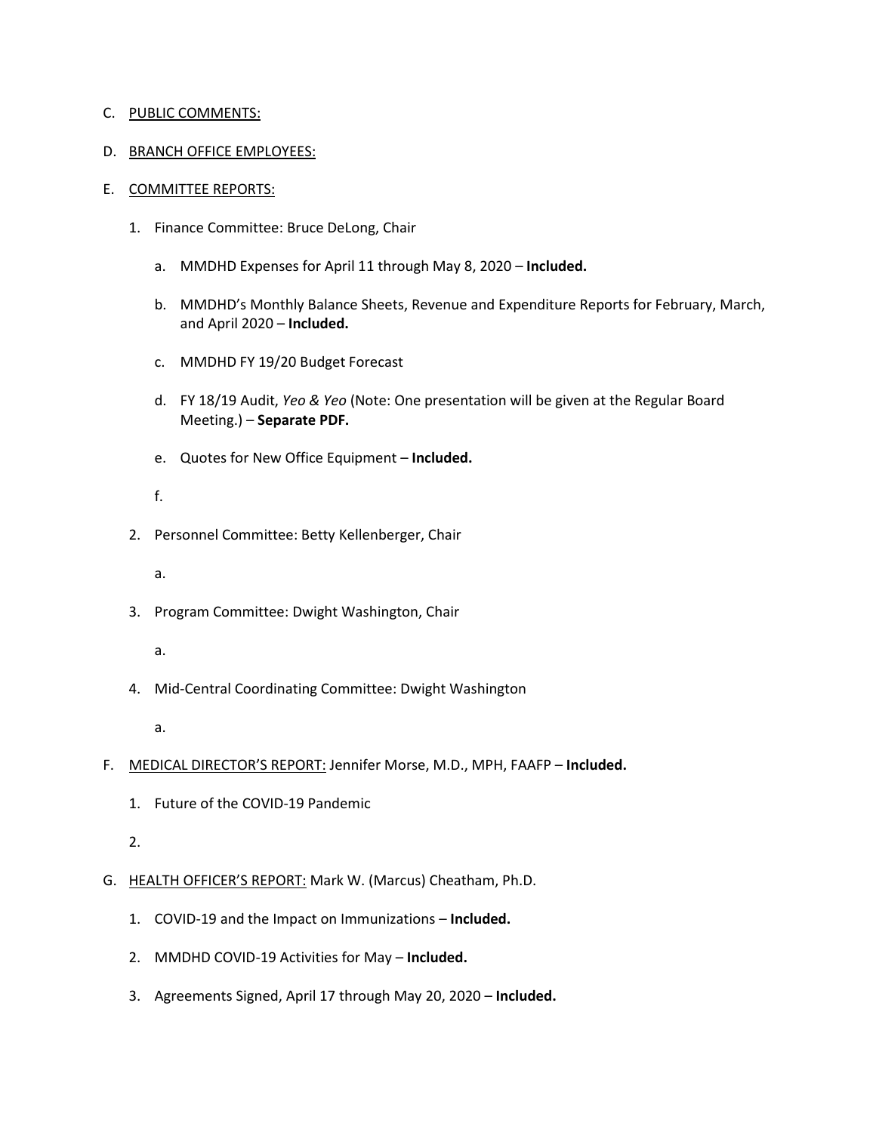#### C. PUBLIC COMMENTS:

### D. BRANCH OFFICE EMPLOYEES:

#### E. COMMITTEE REPORTS:

- 1. Finance Committee: Bruce DeLong, Chair
	- a. MMDHD Expenses for April 11 through May 8, 2020 **Included.**
	- b. MMDHD's Monthly Balance Sheets, Revenue and Expenditure Reports for February, March, and April 2020 – **Included.**
	- c. MMDHD FY 19/20 Budget Forecast
	- d. FY 18/19 Audit, *Yeo & Yeo* (Note: One presentation will be given at the Regular Board Meeting.) – **Separate PDF.**
	- e. Quotes for New Office Equipment **Included.**

# f.

- 2. Personnel Committee: Betty Kellenberger, Chair
	- a.
- 3. Program Committee: Dwight Washington, Chair
	- a.
- 4. Mid-Central Coordinating Committee: Dwight Washington

a.

- F. MEDICAL DIRECTOR'S REPORT: Jennifer Morse, M.D., MPH, FAAFP **Included.**
	- 1. Future of the COVID-19 Pandemic

### 2.

- G. HEALTH OFFICER'S REPORT: Mark W. (Marcus) Cheatham, Ph.D.
	- 1. COVID-19 and the Impact on Immunizations **Included.**
	- 2. MMDHD COVID-19 Activities for May **Included.**
	- 3. Agreements Signed, April 17 through May 20, 2020 **Included.**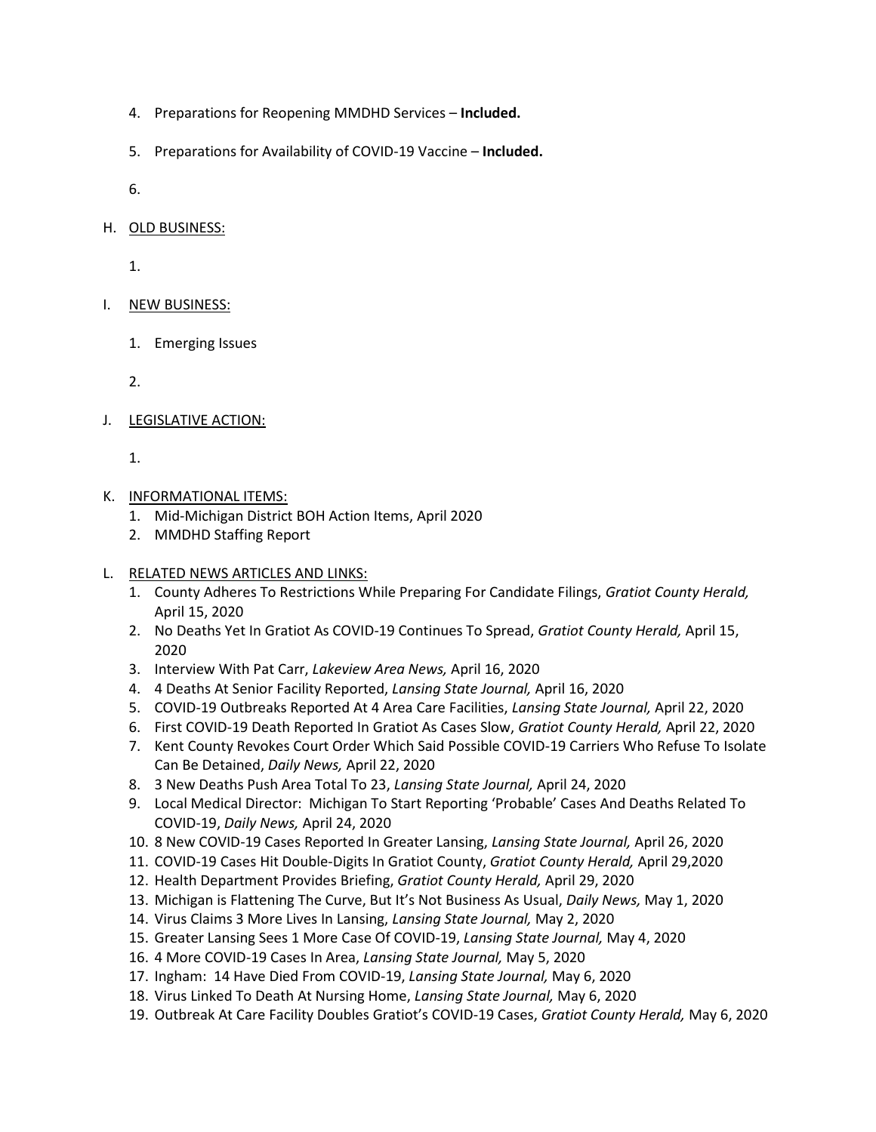- 4. Preparations for Reopening MMDHD Services **Included.**
- 5. Preparations for Availability of COVID-19 Vaccine **Included.**

6.

### H. OLD BUSINESS:

1.

## I. NEW BUSINESS:

1. Emerging Issues

2.

J. LEGISLATIVE ACTION:

1.

## K. INFORMATIONAL ITEMS:

- 1. Mid-Michigan District BOH Action Items, April 2020
- 2. MMDHD Staffing Report

# L. RELATED NEWS ARTICLES AND LINKS:

- 1. County Adheres To Restrictions While Preparing For Candidate Filings, *Gratiot County Herald,*  April 15, 2020
- 2. No Deaths Yet In Gratiot As COVID-19 Continues To Spread, *Gratiot County Herald,* April 15, 2020
- 3. Interview With Pat Carr, *Lakeview Area News,* April 16, 2020
- 4. 4 Deaths At Senior Facility Reported, *Lansing State Journal,* April 16, 2020
- 5. COVID-19 Outbreaks Reported At 4 Area Care Facilities, *Lansing State Journal,* April 22, 2020
- 6. First COVID-19 Death Reported In Gratiot As Cases Slow, *Gratiot County Herald,* April 22, 2020
- 7. Kent County Revokes Court Order Which Said Possible COVID-19 Carriers Who Refuse To Isolate Can Be Detained, *Daily News,* April 22, 2020
- 8. 3 New Deaths Push Area Total To 23, *Lansing State Journal,* April 24, 2020
- 9. Local Medical Director: Michigan To Start Reporting 'Probable' Cases And Deaths Related To COVID-19, *Daily News,* April 24, 2020
- 10. 8 New COVID-19 Cases Reported In Greater Lansing, *Lansing State Journal,* April 26, 2020
- 11. COVID-19 Cases Hit Double-Digits In Gratiot County, *Gratiot County Herald,* April 29,2020
- 12. Health Department Provides Briefing, *Gratiot County Herald,* April 29, 2020
- 13. Michigan is Flattening The Curve, But It's Not Business As Usual, *Daily News,* May 1, 2020
- 14. Virus Claims 3 More Lives In Lansing, *Lansing State Journal,* May 2, 2020
- 15. Greater Lansing Sees 1 More Case Of COVID-19, *Lansing State Journal,* May 4, 2020
- 16. 4 More COVID-19 Cases In Area, *Lansing State Journal,* May 5, 2020
- 17. Ingham: 14 Have Died From COVID-19, *Lansing State Journal,* May 6, 2020
- 18. Virus Linked To Death At Nursing Home, *Lansing State Journal,* May 6, 2020
- 19. Outbreak At Care Facility Doubles Gratiot's COVID-19 Cases, *Gratiot County Herald,* May 6, 2020